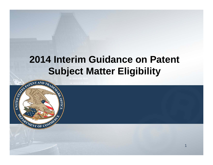### **2014 Interim Guidance on Patent Subject Matter Eligibility**

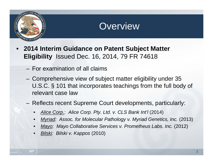

#### **Overview**

- **2014 Interim Guidance on Patent Subject Matter Eligibility** Issued Dec. 16, 2014, 79 FR 74618
	- For examination of all claims
	- Comprehensive view of subject matter eligibility under 35 U.S.C. § 101 that incorporates teachings from the full body of relevant case law
	- Reflects recent Supreme Court developments, particularly:
		- *Alice Corp*.: *Alice Corp. Pty. Ltd. v. CLS Bank Int'l* (2014)
		- *Myriad: Assoc. for Molecular Pathology v. Myriad Genetics, Inc. (2013)*
		- *Mayo: Mayo Collaborative Services v. Prometheus Labs. Inc.* (2012)
		- *Bilski: Bilski v. Kappos* (2010)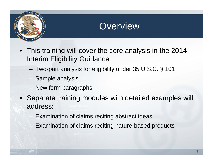

#### **Overview**

- This training will cover the core analysis in the 2014 Interim Eligibility Guidance
	- –Two-part analysis for eligibility under 35 U.S.C. § 101
	- –– Sample analysis
	- –– New form paragraphs
- Separate training modules with detailed examples will address:
	- –– Examination of claims reciting abstract ideas
	- –- Examination of claims reciting nature-based products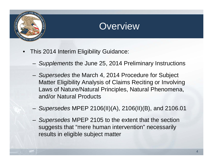

#### Overview

- • This 2014 Interim Eligibility Guidance:
	- –*Supplements* the June 25, 2014 Preliminary Instructions
	- – *Supersedes* the March 4, 2014 Procedure for Subject Matter Eligibility Analysis of Claims Reciting or Involving Laws of Nature/Natural Principles, Natural Phenomena, and/or Natural Products
	- –*Supersedes* MPEP 2106(II)(A), 2106(II)(B), and 2106.01
	- – *Supersedes* MPEP 2105 to the extent that the section suggests that "mere human intervention" necessarily results in eligible subject matter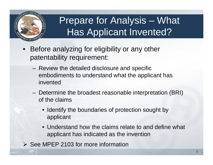

## Prepare for Analysis – What Has Applicant Invented?

- • Before analyzing for eligibility or any other patentability requirement:
	- Review the detailed disclosure and specific embodiments to understand what the applicant has invented
	- Determine the broadest reasonable interpretation (BRI) of the claims
		- Identify the boundaries of protection sought by applicant
		- Understand how the claims relate to and define what applicant has indicated as the invention
- $\triangleright$  See MPEP 2103 for more information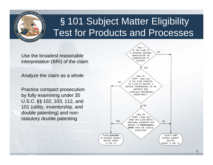

## §101 Subject Matter Eligibility Test for Products and Processes

Use the broadest reasonable interpretation (BRI) of the claim

Analyze the claim as a whole

Practice compact prosecution by fully examining under 35 U.S.C.§§102, 103, 112, and 101 (utility, inventorship, and double patenting) and nonstatutory double patenting

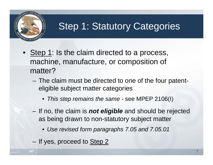

## **Step 1: Statutory Categories**

- Step 1: Is the claim directed to a process, machine, manufacture, or composition of matter?
	- The claim must be directed to one of the four patenteligible subject matter categories
		- *This step remains the same -* see MPEP 2106(I)
	- If no, the claim is *not eligible* and should be rejected as being drawn to non-statutory subject matter
		- *Use revised form paragraphs 7.05 and 7.05.01*
	- If yes, proceed to Step 2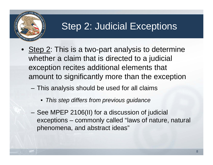

### Step 2: Judicial Exceptions

- Step 2: This is a two-part analysis to determine whether a claim that is directed to a judicial exception recites additional elements that amount to significantly more than the exception
	- This analysis should be used for all claims
		- *This step differs from previous guidance*
	- See MPEP 2106(II) for a discussion of judicial exceptions – commonly called "laws of nature, natural phenomena, and abstract ideas"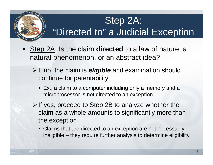## Step 2A: "Directed to" a Judicial Exception

- • Step 2A: Is the claim **directed** to a law of nature, a natural phenomenon, or an abstract idea?
	- If no, the claim is *eligible* and examination should continue for patentability
		- Ex., a claim to a computer including only a memory and a microprocessor is not directed to an exception
	- $\triangleright$  If yes, proceed to Step 2B to analyze whether the claim as a whole amounts to significantly more than the exception
		- Claims that are directed to an exception are not necessarily ineligible – they require further analysis to determine eligibility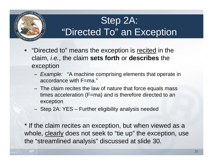## Step 2A: "Directed To" an Exception

- "Directed to" means the exception is recited in the claim, *i.e.*, the claim **sets forth** or **describes** the exception
	- *Example:* "A machine comprising elements that operate in accordance with F=ma."
	- The claim recites the law of nature that force equals mass times acceleration (F=ma) and is therefore directed to an exception
	- Step 2A: YES Further eligibility analysis needed

\* If the claim recites an exception, but when viewed as a whole, clearly does not seek to "tie up" the exception, use the "streamlined analysis" discussed at slide 30.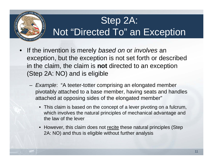## Step 2A: Not "Directed To" an Exception

- • If the invention is merely *based on* or *involves* an exception, but the exception is not set forth or described in the claim, the claim is **not** directed to an exception (Step 2A: NO) and is eligible
	- *Example*: "A teeter-totter comprising an elongated member pivotably attached to a base member, having seats and handles attached at opposing sides of the elongated member"
		- This claim is based on the concept of a lever pivoting on a fulcrum, which involves the natural principles of mechanical advantage and the law of the lever
		- However, this claim does not recite these natural principles (Step 2A: NO) and thus is eligible without further analysis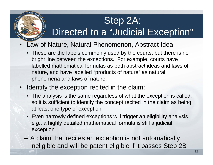## Step 2A:

## Directed to a "Judicial Exception"

- Law of Nature, Natural Phenomenon, Abstract Idea
	- These are the labels commonly used by the courts, but there is no bright line between the exceptions. For example, courts have labelled mathematical formulas as both abstract ideas and laws of nature, and have labelled "products of nature" as natural phenomena and laws of nature.
- Identify the exception recited in the claim:
	- The analysis is the same regardless of what the exception is called, so it is sufficient to identify the concept recited in the claim as being at least one type of exception
	- Even narrowly defined exceptions will trigger an eligibility analysis, *e.g.*, a highly detailed mathematical formula is still a judicial exception
	- A claim that recites an exception is not automatically ineligible and will be patent eligible if it passes Step 2B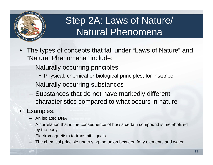

## Step 2A: Laws of Nature/ Natural Phenomena

- • The types of concepts that fall under "Laws of Nature" and "Natural Phenomena" include:
	- –- Naturally occurring principles
		- Physical, chemical or biological principles, for instance
	- Naturally occurring substances
	- Substances that do not have markedly different characteristics compared to what occurs in nature

#### •Examples:

- An isolated DNA
- A correlation that is the consequence of how a certain compound is metabolized by the body
- Electromagnetism to transmit signals
- The chemical principle underlying the union between fatty elements and water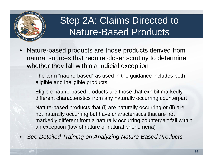

## Step 2A: Claims Directed to Nature-Based Products

- • Nature-based products are those products derived from natural sources that require closer scrutiny to determine whether they fall within a judicial exception
	- The term "nature-based" as used in the guidance includes both eligible and ineligible products
	- Eligible nature-based products are those that exhibit markedly different characteristics from any naturally occurring counterpart
	- Nature-based products that (i) are naturally occurring or (ii) are not naturally occurring but have characteristics that are not markedly different from a naturally occurring counterpart fall within an exception (law of nature or natural phenomena)
- •*See Detailed Training on Analyzing Nature-Based Products*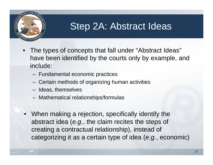

#### Step 2A: Abstract Ideas

- • The types of concepts that fall under "Abstract Ideas" have been identified by the courts only by example, and include:
	- Fundamental economic practices
	- Certain methods of organizing human activities
	- Ideas, themselves
	- Mathematical relationships/formulas
- • When making a rejection, specifically identify the abstract idea (*e.g.*, the claim recites the steps of creating a contractual relationship), instead of categorizing it as a certain type of idea (*e.g.*, economic)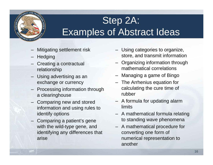

# Step 2A: Examples of Abstract Ideas

- Mitigating settlement risk
- Hedging
- Creating a contractual relationship
- Using advertising as an exchange or currency
- Processing information through a clearinghouse
- Comparing new and stored information and using rules to identify options
- Comparing a patient's gene with the wild-type gene, and identifying any differences that arise
- Using categories to organize, store, and transmit information
- Organizing information through mathematical correlations
- Managing a game of Bingo
- The Arrhenius equation for calculating the cure time of rubber
- A formula for updating alarm **limits**
- A mathematical formula relating to standing wave phenomena
- A mathematical procedure for converting one form of numerical representation to another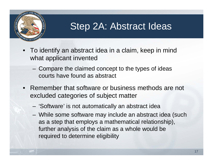

### Step 2A: Abstract Ideas

- To identify an abstract idea in a claim, keep in mind what applicant invented
	- Compare the claimed concept to the types of ideas courts have found as abstract
- • Remember that software or business methods are not excluded categories of subject matter
	- –'Software' is not automatically an abstract idea
	- While some software may include an abstract idea (such as a step that employs a mathematical relationship), further analysis of the claim as a whole would be required to determine eligibility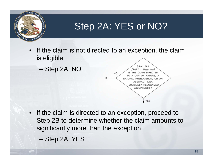

- If the claim is not directed to an exception, the claim is eligible.
	- –– Step 2A: NO



- If the claim is directed to an exception, proceed to Step 2B to determine whether the claim amounts to significantly more than the exception.
	- Step 2A: YES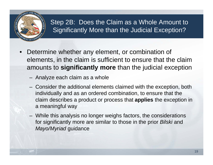

#### Step 2B: Does the Claim as a Whole Amount to Significantly More than the Judicial Exception?

- Determine whether any element, or combination of elements, in the claim is sufficient to ensure that the claim amounts to **significantly more** than the judicial exception
	- Analyze each claim as a whole
	- Consider the additional elements claimed with the exception, both individually and as an ordered combination, to ensure that the claim describes a product or process that **applies** the exception in a meaningful way
	- While this analysis no longer weighs factors, the considerations for significantly more are similar to those in the prior *Bilski* and *Mayo/Myriad* guidance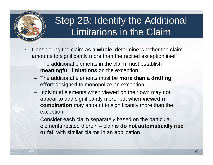

## Step 2B: Identify the Additional Limitations in the Claim

- • Considering the claim **as a whole**, determine whether the claim amounts to significantly more than the recited exception itself
	- The additional elements in the claim must establish **meaningful limitations** on the exception
	- The additional elements must be **more than a drafting effort** designed to monopolize an exception
	- $-$  Individual elements when viewed on their own may not appear to add significantly more, but when **viewed in combination** may amount to significantly more than the exception
	- Consider each claim separately based on the particular elements recited therein – claims **do not automatically rise or fall** with similar claims in an application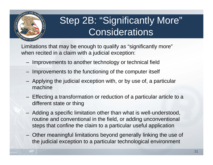

## Step 2B: "Significantly More" **Considerations**

Limitations that may be enough to qualify as "significantly more" when recited in a claim with a judicial exception:

- Improvements to another technology or technical field
- $-$  Improvements to the functioning of the computer itself
- $-$  Applying the judicial exception with, or by use of, a particular machine
- $-$  Effecting a transformation or reduction of a particular article to a different state or thing
- Adding a specific limitation other than what is well-understood, routine and conventional in the field, or adding unconventional steps that confine the claim to a particular useful application
- Other meaningful limitations beyond generally linking the use of the judicial exception to a particular technological environment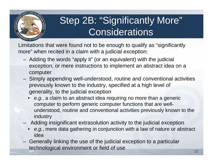

## Step 2B: "Significantly More" **Considerations**

Limitations that were found not to be enough to qualify as "significantly more" when recited in a claim with a judicial exception:

- – Adding the words "apply it" (or an equivalent) with the judicial exception, or mere instructions to implement an abstract idea on a computer
- – Simply appending well-understood, routine and conventional activities previously known to the industry, specified at a high level of generality, to the judicial exception
	- • *e.g.*, a claim to an abstract idea requiring no more than a generic computer to perform generic computer functions that are wellunderstood, routine and conventional activities previously known to the industry
- Adding insignificant extrasolution activity to the judicial exception
	- *e.g.*, mere data gathering in conjunction with a law of nature or abstract idea
- Generally linking the use of the judicial exception to a particular technological environment or field of use 22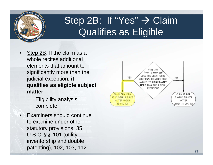

## Step 2B: If "Yes" → Claim Qualifies as Eligible

- •Step 2B: If the claim as a whole recites additional elements that amount to significantly more than the judicial exception, **it qualifies as eligible subject matter**
	- Eligibility analysis complete
- Examiners should continue to examine under other statutory provisions: 35 U.S.C.§§ 101 (utility, inventorship and double patenting), 102, 103, 112 23

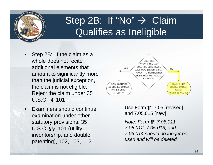

## Step 2B: If "No"  $\rightarrow$  Claim Qualifies as Ineligible

- •Step 2B: If the claim as a whole does not recite additional elements that amount to significantly more than the judicial exception, the claim is not eligible. Reject the claim under 35 U.S.C. § 101
- • Examiners should continue examination under other statutory provisions: 35 U.S.C.§§ 101 (utility, inventorship, and double patenting), 102, 103, 112



Use Form ¶¶ 7.05 [revised] and 7.05.015 [new]

*Note: Form ¶¶ 7.05.011, 7.05.012, 7.05.013, and 7.05.014 should no longer be used and will be deleted*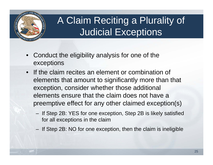

## A Claim Reciting a Plurality of Judicial Exceptions

- $\bullet$  Conduct the eligibility analysis for one of the exceptions
- If the claim recites an element or combination of elements that amount to significantly more than that exception, consider whether those additional elements ensure that the claim does not have a preemptive effect for any other claimed exception(s)
	- If Step 2B: YES for one exception, Step 2B is likely satisfied for all exceptions in the claim
	- $-$  If Step 2B: NO for one exception, then the claim is ineligible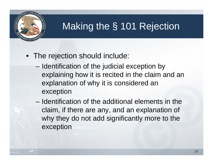

## Making the § 101 Rejection

- The rejection should include:
	- Identification of the judicial exception by explaining how it is recited in the claim and an explanation of why it is considered an exception
	- Identification of the additional elements in the claim, if there are any, and an explanation of why they do not add significantly more to the exception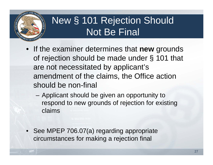

## New § 101 Rejection Should Not Be Final

- If the examiner determines that **new** grounds of rejection should be made under § 101 that are not necessitated by applicant's amendment of the claims, the Office action should be non-final
	- Applicant should be given an opportunity to respond to new grounds of rejection for existing claims
- See MPEP 706.07(a) regarding appropriate circumstances for making a rejection final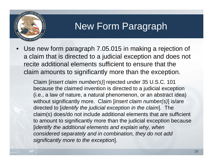

### New Form Paragraph

• Use new form paragraph 7.05.015 in making a rejection of a claim that is directed to a judicial exception and does not recite additional elements sufficient to ensure that the claim amounts to significantly more than the exception.

Claim [*insert claim number(s)*] rejected under 35 U.S.C. 101 because the claimed invention is directed to a judicial exception (i.e., a law of nature, a natural phenomenon, or an abstract idea) without significantly more. Claim [*insert claim number(s)*] is/are directed to [*identify the judicial exception in the claim*]. The claim(s) does/do not include additional elements that are sufficient to amount to significantly more than the judicial exception because [*identify the additional elements and explain why, when considered separately and in combination, they do not add significantly more to the exception*].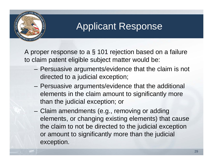

#### Applicant Response

A proper response to a § 101 rejection based on a failure to claim patent eligible subject matter would be:

- Persuasive arguments/evidence that the claim is not directed to a judicial exception;
- Persuasive arguments/evidence that the additional elements in the claim amount to significantly more than the judicial exception; or
- Claim amendments (e.g., removing or adding elements, or changing existing elements) that cause the claim to not be directed to the judicial exception or amount to significantly more than the judicial exception.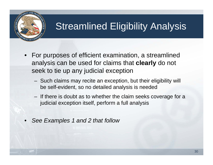

## Streamlined Eligibility Analysis

- For purposes of efficient examination, a streamlined analysis can be used for claims that **clearly** do not seek to tie up any judicial exception
	- Such claims may recite an exception, but their eligibility will be self-evident, so no detailed analysis is needed
	- $-$  If there is doubt as to whether the claim seeks coverage for a judicial exception itself, perform a full analysis
- •*See Examples 1 and 2 that follow*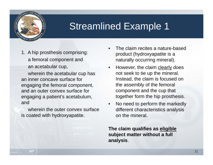

#### Streamlined Example 1

1. A hip prosthesis comprising: a femoral component and an acetabular cup,

wherein the acetabular cup has an inner concave surface for engaging the femoral component, and an outer convex surface for engaging a patient's acetabulum, and

wherein the outer convex surface is coated with hydroxyapatite.

- • The claim recites a nature-based product (hydroxyapatite is a naturally occurring mineral).
- $\bullet$ However, the claim clearly does not seek to tie up the mineral. Instead, the claim is focused on the assembly of the femoral component and the cup that together form the hip prosthesis.
- • No need to perform the markedly different characteristics analysis on the mineral.

**The claim qualifies as eligible subject matter without a full analysis**.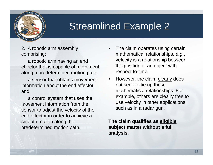

#### Streamlined Example 2

2. A robotic arm assembly comprising:

a robotic arm having an end effector that is capable of movement along a predetermined motion path,

a sensor that obtains movement information about the end effector, and

a control system that uses the movement information from the sensor to adjust the velocity of the end effector in order to achieve a smooth motion along the predetermined motion path.

- • The claim operates using certain mathematical relationships, *e.g.*, velocity is a relationship between the position of an object with respect to time.
- • However, the claim clearly does not seek to tie up these mathematical relationships. For example, others are clearly free to use velocity in other applications such as in a radar gun.

**The claim qualifies as eligible subject matter without a full analysis**.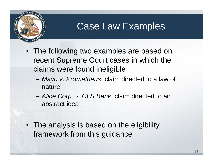

#### Case Law Examples

- The following two examples are based on recent Supreme Court cases in which the claims were found ineligible
	- *Mayo v. Prometheus*: claim directed to a law of nature
	- *Alice Corp. v. CLS Bank*: claim directed to an abstract idea
- The analysis is based on the eligibility framework from this guidance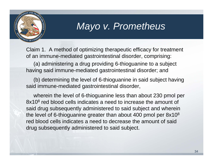

#### *Mayo v. Prometheus*

Claim 1. A method of optimizing therapeutic efficacy for treatment of an immune-mediated gastrointestinal disorder, comprising:

(a) administering a drug providing 6-thioguanine to a subject having said immune-mediated gastrointestinal disorder; and

(b) determining the level of 6-thioguanine in said subject having said immune-mediated gastrointestinal disorder,

wherein the level of 6-thioguanine less than about 230 pmol per 8x10<sup>8</sup> red blood cells indicates a need to increase the amount of said drug subsequently administered to said subject and wherein the level of 6-thioguanine greater than about 400 pmol per 8x108 red blood cells indicates a need to decrease the amount of said drug subsequently administered to said subject.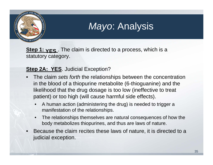

## *Mayo*: Analysis

**Step 1: YES** . The claim is directed to a process, which is a statutory category.

#### **Step 2A: YES.** Judicial Exception?

- • The claim *sets forth* the relationships between the concentration in the blood of a thiopurine metabolite (6-thioguanine) and the likelihood that the drug dosage is too low (ineffective to treat patient) or too high (will cause harmful side effects).
	- • A human action (administering the drug) is needed to trigger a manifestation of the relationships.
	- • The relationships themselves are natural consequences of how the body metabolizes thiopurines, and thus are laws of nature.
- • Because the claim recites these laws of nature, it is directed to a judicial exception.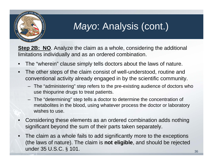

### *Mayo*: Analysis (cont.)

**Step 2B: NO**. Analyze the claim as a whole, considering the additional limitations individually and as an ordered combination.

- •The "wherein" clause simply tells doctors about the laws of nature.
- $\bullet$  The other steps of the claim consist of well-understood, routine and conventional activity already engaged in by the scientific community.
	- The "administering" step refers to the pre-existing audience of doctors who use thiopurine drugs to treat patients.
	- The "determining" step tells a doctor to determine the concentration of metabolites in the blood, using whatever process the doctor or laboratory wishes to use.
- • Considering these elements as an ordered combination adds nothing significant beyond the sum of their parts taken separately.
- • The claim as a whole fails to add significantly more to the exceptions (the laws of nature). The claim is **not eligible**, and should be rejected under 35 U.S.C.  $\S$  101.  $\frac{36}{36}$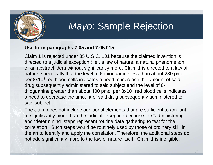

#### *Mayo*: Sample Rejection

#### **Use form paragraphs 7.05 and 7.05.015**

Claim 1 is rejected under 35 U.S.C. 101 because the claimed invention is directed to a judicial exception (i.e., a law of nature, a natural phenomenon, or an abstract idea) without significantly more. Claim 1 is directed to a law of nature, specifically that the level of 6-thioguanine less than about 230 pmol per 8x108 red blood cells indicates a need to increase the amount of said drug subsequently administered to said subject and the level of 6 thioguanine greater than about 400 pmol per 8x108 red blood cells indicates a need to decrease the amount of said drug subsequently administered to said subject.

The claim does not include additional elements that are sufficient to amount to significantly more than the judicial exception because the "administering" and "determining" steps represent routine data gathering to test for the correlation. Such steps would be routinely used by those of ordinary skill in the art to identify and apply the correlation. Therefore, the additional steps do not add significantly more to the law of nature itself. Claim 1 is ineligible.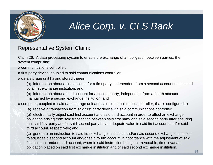

### *Alice Corp. v. CLS Bank*

Representative System Claim:

Claim 26. A data processing system to enable the exchange of an obligation between parties, the system comprising:

a communications controller,

a first party device, coupled to said communications controller,

a data storage unit having stored therein

(a) information about a first account for a first party, independent from a second account maintained by a first exchange institution, and

(b) information about a third account for a second party, independent from a fourth account maintained by a second exchange institution; and

a computer, coupled to said data storage unit and said communications controller, that is configured to

(a) receive a transaction from said first party device via said communications controller;

(b) electronically adjust said first account and said third account in order to effect an exchange obligation arising from said transaction between said first party and said second party after ensuring that said first party and/or said second party have adequate value in said first account and/or said third account, respectively; and

(c) generate an instruction to said first exchange institution and/or said second exchange institution to adjust said second account and/or said fourth account in accordance with the adjustment of said first account and/or third account, wherein said instruction being an irrevocable, time invariant obligation placed on said first exchange institution and/or said second exchange institution.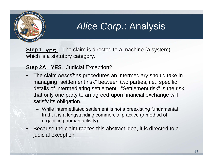

#### *Alice Corp*.: Analysis

**Step 1: YES** . The claim is directed to a machine (a system), which is a statutory category.

#### **Step 2A: YES.** Judicial Exception?

- • The claim *describes* procedures an intermediary should take in managing "settlement risk" between two parties, i.e., specific details of intermediating settlement. "Settlement risk" is the risk that only one party to an agreed-upon financial exchange will satisfy its obligation.
	- While intermediated settlement is not a preexisting fundamental truth, it is a longstanding commercial practice (a method of organizing human activity).
- • Because the claim recites this abstract idea, it is directed to a judicial exception.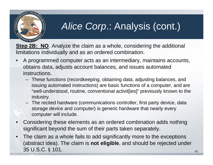

## *Alice Corp*.: Analysis (cont.)

**Step 2B: NO**. Analyze the claim as a whole, considering the additional limitations individually and as an ordered combination.

- • A programmed computer acts as an intermediary, maintains accounts, obtains data, adjusts account balances, and issues automated instructions.
	- These functions (recordkeeping, obtaining data, adjusting balances, and issuing automated instructions) are basic functions of a computer, and are "well-understood, routine, conventional activit[ies]" previously known to the industry.
	- The recited hardware (communications controller, first party device, data storage device and computer) is generic hardware that nearly every computer will include.
- • Considering these elements as an ordered combination adds nothing significant beyond the sum of their parts taken separately.
- • The claim as a whole fails to add significantly more to the exceptions (abstract idea). The claim is **not eligible**, and should be rejected under 35 U.S.C. § 101.  $\frac{40}{40}$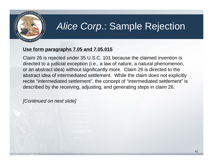

### *Alice Corp*.: Sample Rejection

#### **Use form paragraphs 7.05 and 7.05.015**

Claim 26 is rejected under 35 U.S.C. 101 because the claimed invention is directed to a judicial exception (i.e., a law of nature, a natural phenomenon, or an abstract idea) without significantly more. Claim 26 is directed to the abstract idea of intermediated settlement. While the claim does not explicitly recite "intermediated settlement", the concept of "intermediated settlement" is described by the receiving, adjusting, and generating steps in claim 26.

*[Continued on next slide]*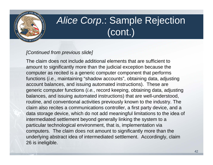

## *Alice Corp*.: Sample Rejection (cont.)

#### *[Continued from previous slide]*

The claim does not include additional elements that are sufficient to amount to significantly more than the judicial exception because the computer as recited is a generic computer component that performs functions (*i.e.*, maintaining "shadow accounts", obtaining data, adjusting account balances, and issuing automated instructions). These are generic computer functions (*i.e.*, record keeping, obtaining data, adjusting balances, and issuing automated instructions) that are well-understood, routine, and conventional activities previously known to the industry. The claim also recites a communications controller, a first party device, and a data storage device, which do not add meaningful limitations to the idea of intermediated settlement beyond generally linking the system to a particular technological environment, that is, implementation via computers. The claim does not amount to significantly more than the underlying abstract idea of intermediated settlement. Accordingly, claim 26 is ineligible.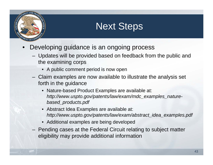

### Next Steps

- • Developing guidance is an ongoing process
	- Updates will be provided based on feedback from the public and the examining corps
		- A public comment period is now open
	- Claim examples are now available to illustrate the analysis set forth in the guidance
		- Nature-based Product Examples are available at: *http://www.uspto.gov/patents/law/exam/mdc\_examples\_naturebased\_products.pdf*
		- Abstract Idea Examples are available at: *http://www.uspto.gov/patents/law/exam/abstract\_idea\_examples.pdf*
		- Additional examples are being developed
	- Pending cases at the Federal Circuit relating to subject matter eligibility may provide additional information